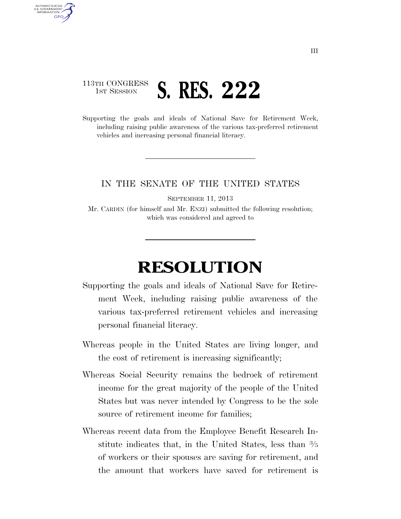## 113TH CONGRESS **1ST SESSION S. RES. 222**

AUTHENTICATED U.S. GOVERNMENT **GPO** 

> Supporting the goals and ideals of National Save for Retirement Week, including raising public awareness of the various tax-preferred retirement vehicles and increasing personal financial literacy.

## IN THE SENATE OF THE UNITED STATES

SEPTEMBER 11, 2013

Mr. CARDIN (for himself and Mr. ENZI) submitted the following resolution; which was considered and agreed to

## **RESOLUTION**

- Supporting the goals and ideals of National Save for Retirement Week, including raising public awareness of the various tax-preferred retirement vehicles and increasing personal financial literacy.
- Whereas people in the United States are living longer, and the cost of retirement is increasing significantly;
- Whereas Social Security remains the bedrock of retirement income for the great majority of the people of the United States but was never intended by Congress to be the sole source of retirement income for families;
- Whereas recent data from the Employee Benefit Research Institute indicates that, in the United States, less than 3⁄5 of workers or their spouses are saving for retirement, and the amount that workers have saved for retirement is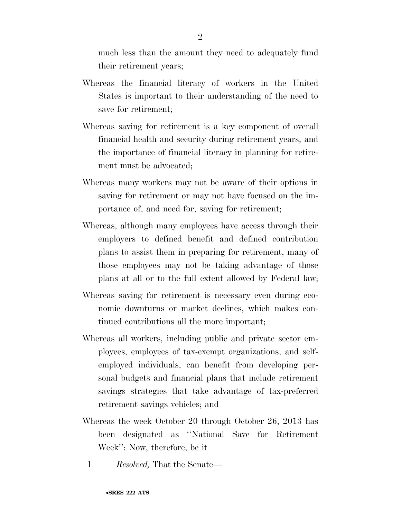much less than the amount they need to adequately fund their retirement years;

- Whereas the financial literacy of workers in the United States is important to their understanding of the need to save for retirement;
- Whereas saving for retirement is a key component of overall financial health and security during retirement years, and the importance of financial literacy in planning for retirement must be advocated;
- Whereas many workers may not be aware of their options in saving for retirement or may not have focused on the importance of, and need for, saving for retirement;
- Whereas, although many employees have access through their employers to defined benefit and defined contribution plans to assist them in preparing for retirement, many of those employees may not be taking advantage of those plans at all or to the full extent allowed by Federal law;
- Whereas saving for retirement is necessary even during economic downturns or market declines, which makes continued contributions all the more important;
- Whereas all workers, including public and private sector employees, employees of tax-exempt organizations, and selfemployed individuals, can benefit from developing personal budgets and financial plans that include retirement savings strategies that take advantage of tax-preferred retirement savings vehicles; and
- Whereas the week October 20 through October 26, 2013 has been designated as ''National Save for Retirement Week'': Now, therefore, be it
	- 1 *Resolved,* That the Senate—